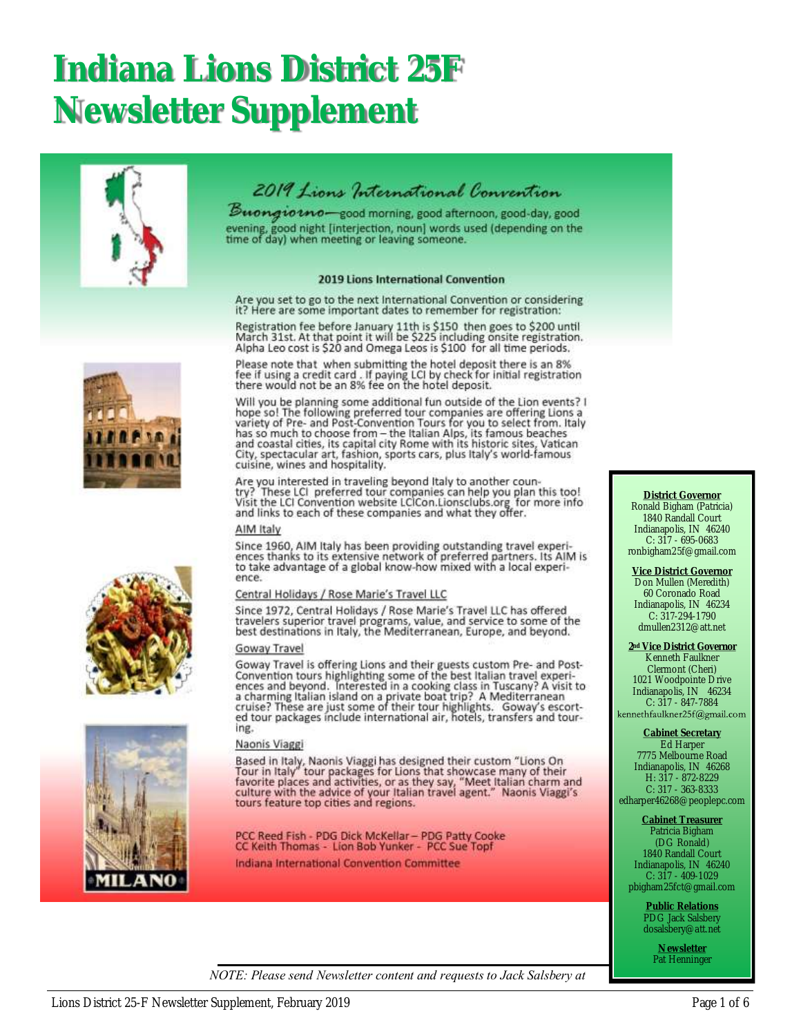# **Indiana Lions District 25F Newsletter Supplement**





Buongiotno-good morning, good afternoon, good-day, good evening, good night [interjection, noun] words used (depending on the<br>time of day) when meeting or leaving someone.

#### 2019 Lions International Convention

Are you set to go to the next International Convention or considering it? Here are some important dates to remember for registration:

Registration fee before January 11th is \$150 then goes to \$200 until<br>March 31st. At that point it will be \$225 including onsite registration. Alpha Leo cost is \$20 and Omega Leos is \$100 for all time periods.

Please note that when submitting the hotel deposit there is an 8%<br>fee if using a credit card . If paying LCI by check for initial registration<br>there would not be an 8% fee on the hotel deposit.

Will you be planning some additional fun outside of the Lion events? I<br>hope so! The following preferred tour companies are offering Lions a Figure sort the Figure and Post-Convention Tours for you to select from. Italy<br>has so much to choose from – the Italian Alps, its famous beaches<br>and coastal cities, its capital city Rome with its historic sites, Vatican<br>Ci cuisine, wines and hospitality.

Are you interested in traveling beyond Italy to another country? These LCI preferred tour companies can help you plan this too!<br>Visit the LCI Convention website LCICon.Lionsclubs.org for more info<br>and links to each of these companies and what they offer.

#### AIM Italy

Since 1960, AIM Italy has been providing outstanding travel experiences thanks to its extensive network of preferred partners. Its AIM is to take advantage of a global know-how mixed with a local experience.

#### Central Holidays / Rose Marie's Travel LLC

Since 1972, Central Holidays / Rose Marie's Travel LLC has offered travelers superior travel programs, value, and service to some of the<br>best destinations in Italy, the Mediterranean, Europe, and beyond.

#### Goway Travel

Goway Travel is offering Lions and their guests custom Pre- and Post-Convention tours highlighting some of the best Italian travel experiences and beyond. Interested in a cooking class in Tuscany? A visit to a charming Ita ing.

#### Naonis Viaggi

Based in Italy, Naonis Viaggi has designed their custom "Lions On<br>Tour in Italy" tour packages for Lions that showcase many of their<br>favorite places and activities, or as they say, "Meet Italian charm and<br>culture with the tours feature top cities and regions.

PCC Reed Fish - PDG Dick McKellar - PDG Patty Cooke<br>CC Kelth Thomas - Lion Bob Yunker - PCC Sue Topf

Indiana International Convention Committee

#### **District Governor** Ronald Bigham (Patricia) 1840 Randall Court Indianapolis, IN 46240 C: 317 - 695-0683 ronbigham25f@gmail.com

**Vice District Governor** Don Mullen (Meredith) 60 Coronado Road Indianapolis, IN 46234 C: 317-294-1790 dmullen2312@att.net

**2nd Vice District Governor** Kenneth Faulkner Clermont (Cheri) 1021 Woodpointe Drive Indianapolis, IN 46234 C: 317 - 847-7884<br>kennethfaulkner25f@gmail.com

#### **Cabinet Secretary** Ed Harper

7775 Melbourne Road Indianapolis, IN 46268 H: 317 - 872-8229 C: 317 - 363-8333

edharper46268@peoplepc.com

**Cabinet Treasurer** Patricia Bigham (DG Ronald) 1840 Randall Court Indianapolis, IN 46240 C: 317 - 409-1029 pbigham25fct@gmail.com

> **Public Relations** PDG Jack Salsbery dosalsbery@att.net

> > **Newsletter** Pat Henninger

*NOTE: Please send Newsletter content and requests to Jack Salsbery at* 





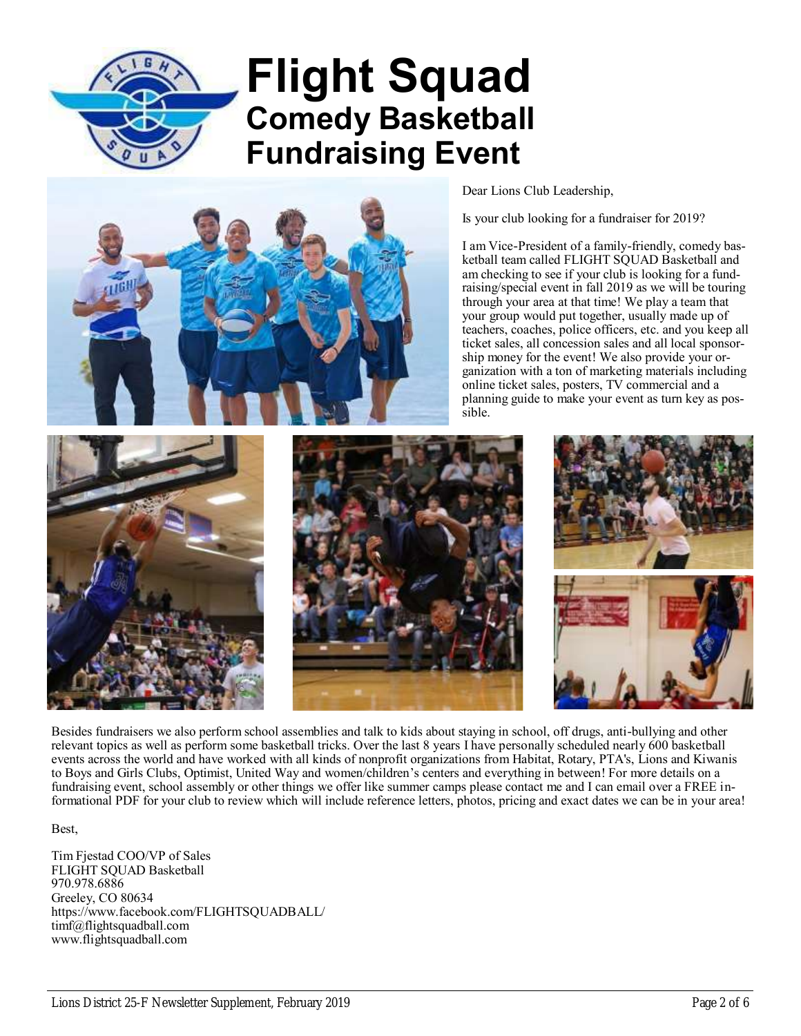

# **Flight Squad Comedy Basketball Fundraising Event**



Dear Lions Club Leadership,

Is your club looking for a fundraiser for 2019?

I am Vice-President of a family-friendly, comedy basketball team called FLIGHT SQUAD Basketball and am checking to see if your club is looking for a fundraising/special event in fall 2019 as we will be touring through your area at that time! We play a team that your group would put together, usually made up of teachers, coaches, police officers, etc. and you keep all ticket sales, all concession sales and all local sponsorship money for the event! We also provide your organization with a ton of marketing materials including online ticket sales, posters, TV commercial and a planning guide to make your event as turn key as possible.







Besides fundraisers we also perform school assemblies and talk to kids about staying in school, off drugs, anti-bullying and other relevant topics as well as perform some basketball tricks. Over the last 8 years I have personally scheduled nearly 600 basketball events across the world and have worked with all kinds of nonprofit organizations from Habitat, Rotary, PTA's, Lions and Kiwanis to Boys and Girls Clubs, Optimist, United Way and women/children's centers and everything in between! For more details on a fundraising event, school assembly or other things we offer like summer camps please contact me and I can email over a FREE informational PDF for your club to review which will include reference letters, photos, pricing and exact dates we can be in your area!

Best,

Tim Fjestad COO/VP of Sales FLIGHT SQUAD Basketball 970.978.6886 Greeley, CO 80634 https://www.facebook.com/FLIGHTSQUADBALL/ timf@flightsquadball.com www.flightsquadball.com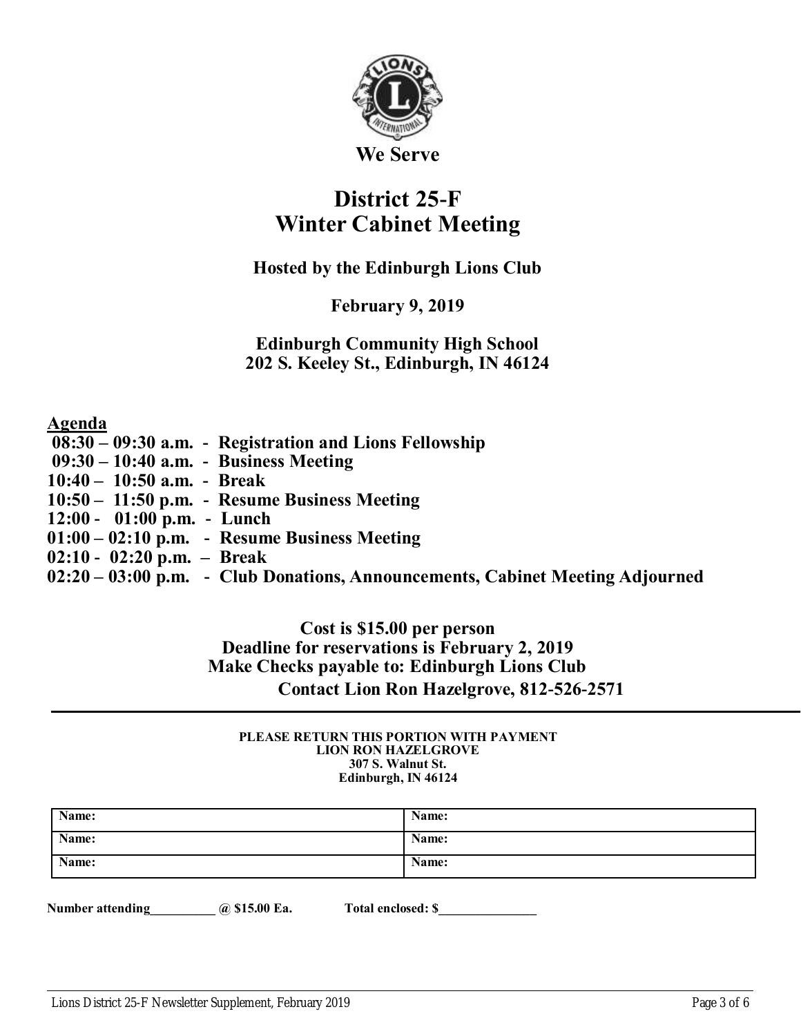

**We Serve**

## **District 25-F Winter Cabinet Meeting**

## **Hosted by the Edinburgh Lions Club**

## **February 9, 2019**

## **Edinburgh Community High School 202 S. Keeley St., Edinburgh, IN 46124**

## **Agenda**

| $08:30 - 09:30$ a.m. - Registration and Lions Fellowship                      |
|-------------------------------------------------------------------------------|
| $09:30 - 10:40$ a.m. - Business Meeting                                       |
| $10:40 - 10:50$ a.m. - Break                                                  |
| $10:50 - 11:50$ p.m. - Resume Business Meeting                                |
| $12:00 - 01:00$ p.m. - Lunch                                                  |
| $01:00 - 02:10$ p.m. - Resume Business Meeting                                |
| $02:10 - 02:20 p.m. - Break$                                                  |
| 02:20 – 03:00 p.m. - Club Donations, Announcements, Cabinet Meeting Adjourned |

## **Cost is \$15.00 per person Deadline for reservations is February 2, 2019 Make Checks payable to: Edinburgh Lions Club Contact Lion Ron Hazelgrove, 812-526-2571**

#### **PLEASE RETURN THIS PORTION WITH PAYMENT LION RON HAZELGROVE 307 S. Walnut St. Edinburgh, IN 46124**

| Name: | Name: |
|-------|-------|
| Name: | Name: |
| Name: | Name: |

**Number attending**   $\qquad \qquad \textcircled{a}$  \$15.00 Ea. Total enclosed: \$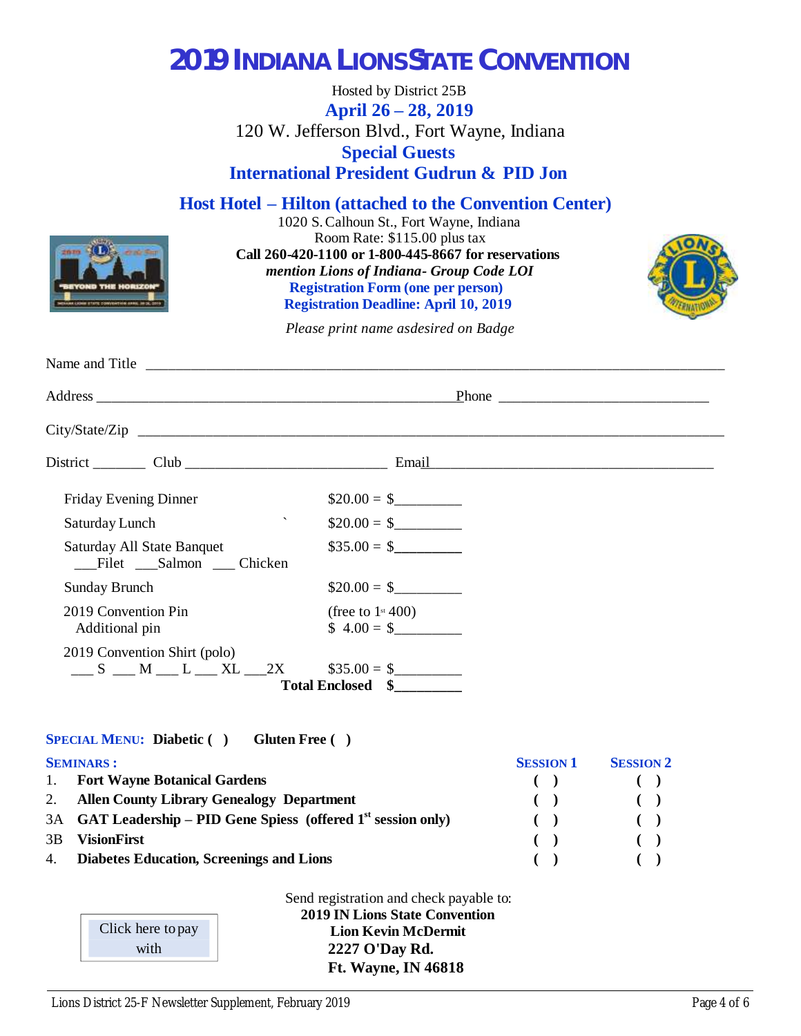## **2019 INDIANA LIONS STATE CONVENTION**

Hosted by District 25B **April 26 – 28, 2019** 120 W. Jefferson Blvd., Fort Wayne, Indiana **Special Guests International President Gudrun & PID Jon**

**Host Hotel – Hilton (attached to the Convention Center)**

1020 S. Calhoun St., Fort Wayne, Indiana Room Rate: \$115.00 plus tax **Call 260-420-1100 or 1-800-445-8667 for reservations**  *mention Lions of Indiana - Group Code LOI* **Registration Form (one per person) Registration Deadline: April 10, 2019**



*Please print name as desired on Badge*

| Friday Evening Dinner                                              | $$20.00 = $$                                   |
|--------------------------------------------------------------------|------------------------------------------------|
| $\overline{\phantom{0}}$<br>Saturday Lunch                         | $$20.00 = $$                                   |
| Saturday All State Banquet<br>Filet Salmon Chicken                 | $\$35.00 = \$$                                 |
| <b>Sunday Brunch</b>                                               | $\$20.00 = \$$                                 |
| 2019 Convention Pin<br>Additional pin                              | (free to $1$ <sup>st</sup> 400)<br>$$4.00 = $$ |
| 2019 Convention Shirt (polo)<br>$S$ $M$ $L$ $XL$ $2X$ $$35.00 = $$ | Total Enclosed \\$                             |

**SPECIAL MENU: Diabetic ( ) Gluten Free ( )**

|    | <b>SEMINARS:</b>                                                 | <b>SESSION 1</b> | <b>SESSION 2</b>       |
|----|------------------------------------------------------------------|------------------|------------------------|
|    | 1. Fort Wayne Botanical Gardens                                  |                  |                        |
|    | 2. Allen County Library Genealogy Department                     |                  | $\left( \quad \right)$ |
|    | 3A GAT Leadership – PID Gene Spiess (offered $1st$ session only) | $\sqrt{2}$       |                        |
| 3B | <b>VisionFirst</b>                                               |                  |                        |
|    | 4. Diabetes Education, Screenings and Lions                      |                  |                        |

| Click here to pay |
|-------------------|
| with              |

Send registration and check payable to: **2019 IN Lions State Convention Lion Kevin McDermit 2227 O'Day Rd. Ft. Wayne, IN 46818**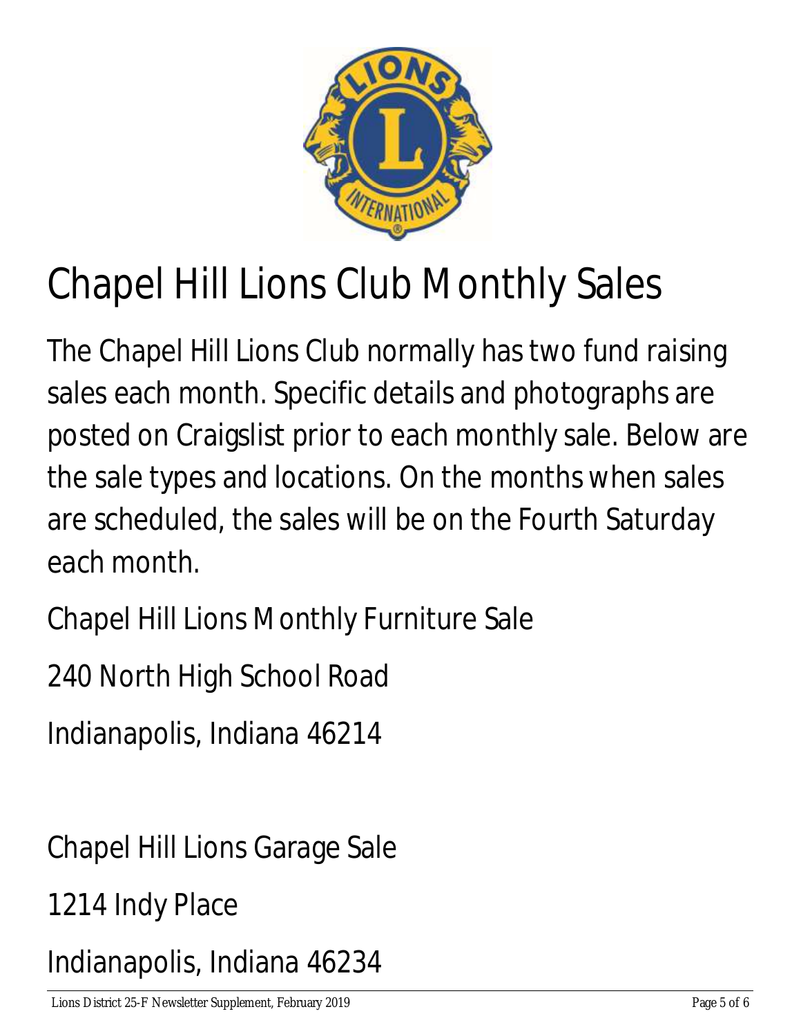

# Chapel Hill Lions Club Monthly Sales

The Chapel Hill Lions Club normally has two fund raising sales each month. Specific details and photographs are posted on Craigslist prior to each monthly sale. Below are the sale types and locations. On the months when sales are scheduled, the sales will be on the Fourth Saturday each month.

Chapel Hill Lions Monthly Furniture Sale

240 North High School Road

Indianapolis, Indiana 46214

Chapel Hill Lions Garage Sale

1214 Indy Place

Indianapolis, Indiana 46234